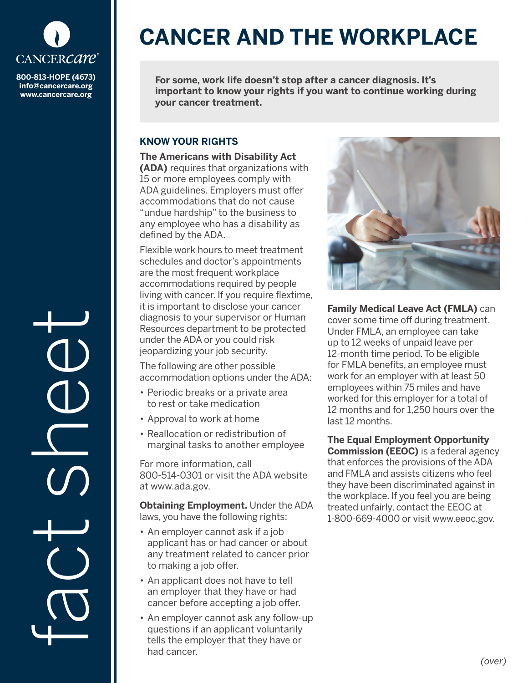

**800-813-HOPE (4673) info@cancercare.org www.cancercare.org**

fact se

# **CANCER AND THE WORKPLACE**

**For some, work life doesn't stop after a cancer diagnosis. It's important to know your rights if you want to continue working during your cancer treatment.**

## **KNOW YOUR RIGHTS**

**The Americans with Disability Act (ADA)** requires that organizations with 15 or more employees comply with ADA guidelines. Employers must offer accommodations that do not cause "undue hardship" to the business to any employee who has a disability as defined by the ADA.

Flexible work hours to meet treatment schedules and doctor's appointments are the most frequent workplace accommodations required by people living with cancer. If you require flextime, it is important to disclose your cancer diagnosis to your supervisor or Human Resources department to be protected under the ADA or you could risk jeopardizing your job security.

The following are other possible accommodation options under the ADA:

- Periodic breaks or a private area to rest or take medication
- Approval to work at home
- Reallocation or redistribution of marginal tasks to another employee

For more information, call 800-514-0301 or visit the ADA website at www.ada.gov.

**Obtaining Employment.** Under the ADA laws, you have the following rights:

- An employer cannot ask if a job applicant has or had cancer or about any treatment related to cancer prior to making a job offer.
- An applicant does not have to tell an employer that they have or had cancer before accepting a job offer.
- An employer cannot ask any follow-up questions if an applicant voluntarily tells the employer that they have or had cancer.



**Family Medical Leave Act (FMLA)** can cover some time off during treatment. Under FMLA, an employee can take up to 12 weeks of unpaid leave per 12-month time period. To be eligible for FMLA benefits, an employee must work for an employer with at least 50 employees within 75 miles and have worked for this employer for a total of 12 months and for 1,250 hours over the last 12 months.

**The Equal Employment Opportunity Commission (EEOC)** is a federal agency that enforces the provisions of the ADA and FMLA and assists citizens who feel they have been discriminated against in the workplace. If you feel you are being treated unfairly, contact the EEOC at 1-800-669-4000 or visit www.eeoc.gov.